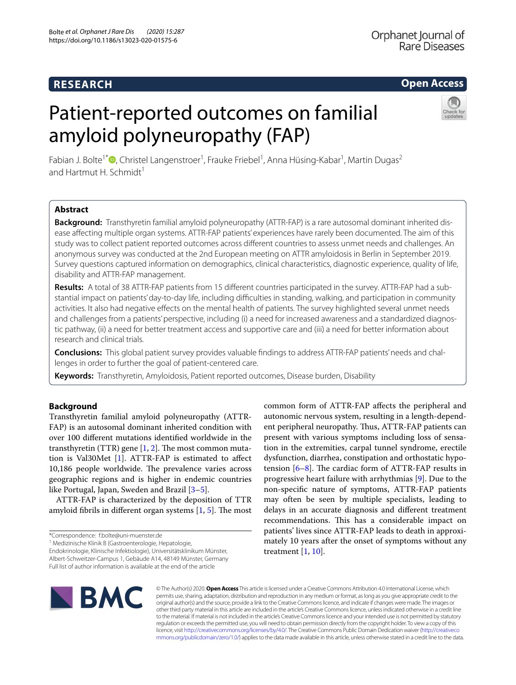## **RESEARCH**

# **Open Access**

# Patient-reported outcomes on familial amyloid polyneuropathy (FAP)



Fabian J. Bolte<sup>1\*</sup>®[,](http://orcid.org/0000-0002-5556-444X) Christel Langenstroer<sup>1</sup>, Frauke Friebel<sup>1</sup>, Anna Hüsing-Kabar<sup>1</sup>, Martin Dugas<sup>2</sup> and Hartmut H. Schmidt<sup>1</sup>

## **Abstract**

**Background:** Transthyretin familial amyloid polyneuropathy (ATTR-FAP) is a rare autosomal dominant inherited dis‑ ease afecting multiple organ systems. ATTR-FAP patients' experiences have rarely been documented. The aim of this study was to collect patient reported outcomes across diferent countries to assess unmet needs and challenges. An anonymous survey was conducted at the 2nd European meeting on ATTR amyloidosis in Berlin in September 2019. Survey questions captured information on demographics, clinical characteristics, diagnostic experience, quality of life, disability and ATTR-FAP management.

Results: A total of 38 ATTR-FAP patients from 15 different countries participated in the survey. ATTR-FAP had a substantial impact on patients' day-to-day life, including difficulties in standing, walking, and participation in community activities. It also had negative efects on the mental health of patients. The survey highlighted several unmet needs and challenges from a patients' perspective, including (i) a need for increased awareness and a standardized diagnostic pathway, (ii) a need for better treatment access and supportive care and (iii) a need for better information about research and clinical trials.

**Conclusions:** This global patient survey provides valuable fndings to address ATTR-FAP patients' needs and chal‑ lenges in order to further the goal of patient-centered care.

**Keywords:** Transthyretin, Amyloidosis, Patient reported outcomes, Disease burden, Disability

## **Background**

Transthyretin familial amyloid polyneuropathy (ATTR-FAP) is an autosomal dominant inherited condition with over 100 diferent mutations identifed worldwide in the transthyretin (TTR) gene  $[1, 2]$  $[1, 2]$  $[1, 2]$  $[1, 2]$ . The most common mutation is Val30Met [\[1](#page-6-0)]. ATTR-FAP is estimated to afect 10,186 people worldwide. The prevalence varies across geographic regions and is higher in endemic countries like Portugal, Japan, Sweden and Brazil [[3](#page-6-2)[–5](#page-6-3)].

ATTR-FAP is characterized by the deposition of TTR amyloid fibrils in different organ systems  $[1, 5]$  $[1, 5]$  $[1, 5]$  $[1, 5]$ . The most

\*Correspondence: f.bolte@uni‑muenster.de

<sup>1</sup> Medizinische Klinik B (Gastroenterologie, Hepatologie,

Endokrinologie, Klinische Infektiologie), Universitätsklinikum Münster, Albert‑Schweitzer‑Campus 1, Gebäude A14, 48149 Münster, Germany

Full list of author information is available at the end of the article

autonomic nervous system, resulting in a length-dependent peripheral neuropathy. Thus, ATTR-FAP patients can present with various symptoms including loss of sensation in the extremities, carpal tunnel syndrome, erectile dysfunction, diarrhea, constipation and orthostatic hypotension  $[6–8]$  $[6–8]$  $[6–8]$ . The cardiac form of ATTR-FAP results in progressive heart failure with arrhythmias [\[9](#page-6-6)]. Due to the non-specifc nature of symptoms, ATTR-FAP patients may often be seen by multiple specialists, leading to delays in an accurate diagnosis and diferent treatment recommendations. This has a considerable impact on patients' lives since ATTR-FAP leads to death in approximately 10 years after the onset of symptoms without any treatment [[1,](#page-6-0) [10\]](#page-6-7).

common form of ATTR-FAP afects the peripheral and



© The Author(s) 2020. **Open Access** This article is licensed under a Creative Commons Attribution 4.0 International License, which permits use, sharing, adaptation, distribution and reproduction in any medium or format, as long as you give appropriate credit to the original author(s) and the source, provide a link to the Creative Commons licence, and indicate if changes were made. The images or other third party material in this article are included in the article's Creative Commons licence, unless indicated otherwise in a credit line to the material. If material is not included in the article's Creative Commons licence and your intended use is not permitted by statutory regulation or exceeds the permitted use, you will need to obtain permission directly from the copyright holder. To view a copy of this licence, visit [http://creativecommons.org/licenses/by/4.0/.](http://creativecommons.org/licenses/by/4.0/) The Creative Commons Public Domain Dedication waiver ([http://creativeco](http://creativecommons.org/publicdomain/zero/1.0/) [mmons.org/publicdomain/zero/1.0/](http://creativecommons.org/publicdomain/zero/1.0/)) applies to the data made available in this article, unless otherwise stated in a credit line to the data.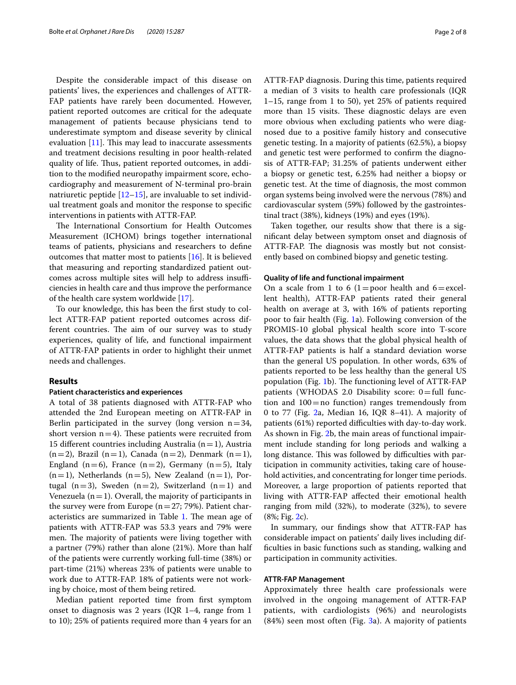Despite the considerable impact of this disease on patients' lives, the experiences and challenges of ATTR-FAP patients have rarely been documented. However, patient reported outcomes are critical for the adequate management of patients because physicians tend to underestimate symptom and disease severity by clinical evaluation  $[11]$  $[11]$ . This may lead to inaccurate assessments and treatment decisions resulting in poor health-related quality of life. Thus, patient reported outcomes, in addition to the modifed neuropathy impairment score, echocardiography and measurement of N-terminal pro-brain natriuretic peptide  $[12-15]$  $[12-15]$  $[12-15]$ , are invaluable to set individual treatment goals and monitor the response to specifc interventions in patients with ATTR-FAP.

The International Consortium for Health Outcomes Measurement (ICHOM) brings together international teams of patients, physicians and researchers to defne outcomes that matter most to patients [[16](#page-6-11)]. It is believed that measuring and reporting standardized patient outcomes across multiple sites will help to address insufficiencies in health care and thus improve the performance of the health care system worldwide [[17](#page-6-12)].

To our knowledge, this has been the frst study to collect ATTR-FAP patient reported outcomes across different countries. The aim of our survey was to study experiences, quality of life, and functional impairment of ATTR-FAP patients in order to highlight their unmet needs and challenges.

## **Results**

#### **Patient characteristics and experiences**

A total of 38 patients diagnosed with ATTR-FAP who attended the 2nd European meeting on ATTR-FAP in Berlin participated in the survey (long version  $n=34$ , short version  $n=4$ ). These patients were recruited from 15 different countries including Australia ( $n=1$ ), Austria  $(n=2)$ , Brazil  $(n=1)$ , Canada  $(n=2)$ , Denmark  $(n=1)$ , England  $(n=6)$ , France  $(n=2)$ , Germany  $(n=5)$ , Italy  $(n=1)$ , Netherlands  $(n=5)$ , New Zealand  $(n=1)$ , Portugal (n=3), Sweden (n=2), Switzerland (n=1) and Venezuela  $(n=1)$ . Overall, the majority of participants in the survey were from Europe ( $n=27$ ; 79%). Patient char-acteristics are summarized in Table [1](#page-2-0). The mean age of patients with ATTR-FAP was 53.3 years and 79% were men. The majority of patients were living together with a partner (79%) rather than alone (21%). More than half of the patients were currently working full-time (38%) or part-time (21%) whereas 23% of patients were unable to work due to ATTR-FAP. 18% of patients were not working by choice, most of them being retired.

Median patient reported time from frst symptom onset to diagnosis was 2 years (IQR 1–4, range from 1 to 10); 25% of patients required more than 4 years for an ATTR-FAP diagnosis. During this time, patients required a median of 3 visits to health care professionals (IQR 1–15, range from 1 to 50), yet 25% of patients required more than 15 visits. These diagnostic delays are even more obvious when excluding patients who were diagnosed due to a positive family history and consecutive genetic testing. In a majority of patients (62.5%), a biopsy and genetic test were performed to confrm the diagnosis of ATTR-FAP; 31.25% of patients underwent either a biopsy or genetic test, 6.25% had neither a biopsy or genetic test. At the time of diagnosis, the most common organ systems being involved were the nervous (78%) and cardiovascular system (59%) followed by the gastrointestinal tract (38%), kidneys (19%) and eyes (19%).

Taken together, our results show that there is a signifcant delay between symptom onset and diagnosis of ATTR-FAP. The diagnosis was mostly but not consistently based on combined biopsy and genetic testing.

#### **Quality of life and functional impairment**

On a scale from 1 to 6 (1=poor health and  $6=$ excellent health), ATTR-FAP patients rated their general health on average at 3, with 16% of patients reporting poor to fair health (Fig. [1](#page-3-0)a). Following conversion of the PROMIS-10 global physical health score into T-score values, the data shows that the global physical health of ATTR-FAP patients is half a standard deviation worse than the general US population. In other words, 63% of patients reported to be less healthy than the general US population (Fig. [1b](#page-3-0)). The functioning level of ATTR-FAP patients (WHODAS 2.0 Disability score:  $0 =$  full function and  $100 =$  no function) ranges tremendously from 0 to 77 (Fig. [2a](#page-3-1), Median 16, IQR 8–41). A majority of patients (61%) reported difficulties with day-to-day work. As shown in Fig. [2b](#page-3-1), the main areas of functional impairment include standing for long periods and walking a long distance. This was followed by difficulties with participation in community activities, taking care of household activities, and concentrating for longer time periods. Moreover, a large proportion of patients reported that living with ATTR-FAP afected their emotional health ranging from mild (32%), to moderate (32%), to severe (8%; Fig. [2](#page-3-1)c).

In summary, our fndings show that ATTR-FAP has considerable impact on patients' daily lives including diffculties in basic functions such as standing, walking and participation in community activities.

## **ATTR‑FAP Management**

Approximately three health care professionals were involved in the ongoing management of ATTR-FAP patients, with cardiologists (96%) and neurologists (84%) seen most often (Fig. [3a](#page-4-0)). A majority of patients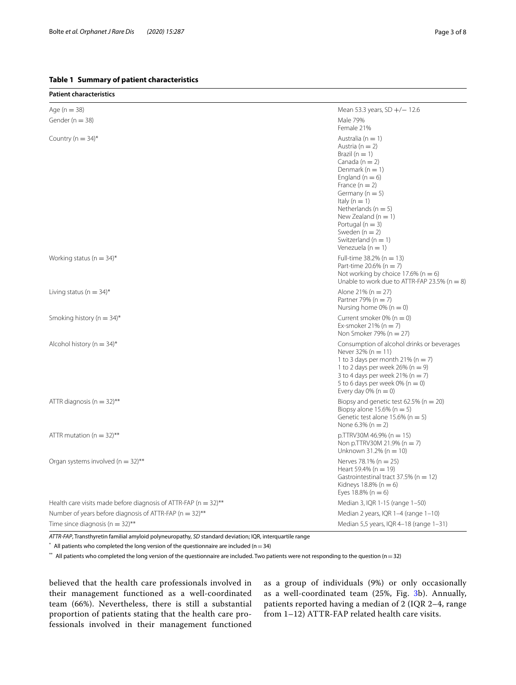## <span id="page-2-0"></span>**Table 1 Summary of patient characteristics**

**Patient characteristics**

| Age ( $n = 38$ )                                                    | Mean 53.3 years, $SD +/- 12.6$                                                                                                                                                                                                                                                                                                                             |
|---------------------------------------------------------------------|------------------------------------------------------------------------------------------------------------------------------------------------------------------------------------------------------------------------------------------------------------------------------------------------------------------------------------------------------------|
| Gender ( $n = 38$ )                                                 | Male 79%<br>Female 21%                                                                                                                                                                                                                                                                                                                                     |
| Country ( $n = 34$ )*                                               | Australia ( $n = 1$ )<br>Austria ( $n = 2$ )<br>Brazil $(n = 1)$<br>Canada ( $n = 2$ )<br>Denmark ( $n = 1$ )<br>England ( $n = 6$ )<br>France $(n = 2)$<br>Germany ( $n = 5$ )<br>Italy ( $n = 1$ )<br>Netherlands ( $n = 5$ )<br>New Zealand ( $n = 1$ )<br>Portugal ( $n = 3$ )<br>Sweden $(n = 2)$<br>Switzerland ( $n = 1$ )<br>Venezuela ( $n = 1$ ) |
| Working status ( $n = 34$ )*                                        | Full-time 38.2% ( $n = 13$ )<br>Part-time 20.6% ( $n = 7$ )<br>Not working by choice 17.6% ( $n = 6$ )<br>Unable to work due to ATTR-FAP 23.5% ( $n = 8$ )                                                                                                                                                                                                 |
| Living status ( $n = 34$ )*                                         | Alone 21% ( $n = 27$ )<br>Partner 79% ( $n = 7$ )<br>Nursing home 0% ( $n = 0$ )                                                                                                                                                                                                                                                                           |
| Smoking history ( $n = 34$ )*                                       | Current smoker $0\%$ (n = 0)<br>Ex-smoker 21% ( $n = 7$ )<br>Non Smoker 79% ( $n = 27$ )                                                                                                                                                                                                                                                                   |
| Alcohol history ( $n = 34$ )*                                       | Consumption of alcohol drinks or beverages<br>Never $32\%$ (n = 11)<br>1 to 3 days per month 21% ( $n = 7$ )<br>1 to 2 days per week 26% ( $n = 9$ )<br>3 to 4 days per week 21% ( $n = 7$ )<br>5 to 6 days per week 0% ( $n = 0$ )<br>Every day $0\%$ (n = 0)                                                                                             |
| ATTR diagnosis ( $n = 32$ )**                                       | Biopsy and genetic test 62.5% ( $n = 20$ )<br>Biopsy alone $15.6\%$ (n = 5)<br>Genetic test alone $15.6\%$ (n = 5)<br>None $6.3\%$ (n = 2)                                                                                                                                                                                                                 |
| ATTR mutation ( $n = 32$ )**                                        | $p.TTRV30M 46.9% (n = 15)$<br>Non p.TTRV30M 21.9% ( $n = 7$ )<br>Unknown 31.2% ( $n = 10$ )                                                                                                                                                                                                                                                                |
| Organ systems involved ( $n = 32$ )**                               | Nerves 78.1% (n = 25)<br>Heart 59.4% ( $n = 19$ )<br>Gastrointestinal tract 37.5% ( $n = 12$ )<br>Kidneys 18.8% ( $n = 6$ )<br>Eyes $18.8\%$ (n = 6)                                                                                                                                                                                                       |
| Health care visits made before diagnosis of ATTR-FAP ( $n = 32$ )** | Median 3, IQR 1-15 (range 1-50)                                                                                                                                                                                                                                                                                                                            |
| Number of years before diagnosis of ATTR-FAP ( $n = 32$ )**         | Median 2 years, IQR 1-4 (range 1-10)                                                                                                                                                                                                                                                                                                                       |
| Time since diagnosis ( $n = 32$ )**                                 | Median 5,5 years, IQR 4-18 (range 1-31)                                                                                                                                                                                                                                                                                                                    |

*ATTR-FAP*, Transthyretin familial amyloid polyneuropathy, *SD* standard deviation; IQR, interquartile range

 $*$  All patients who completed the long version of the questionnaire are included (n = 34)

 $*$  All patients who completed the long version of the questionnaire are included. Two patients were not responding to the question (n = 32)

believed that the health care professionals involved in their management functioned as a well-coordinated team (66%). Nevertheless, there is still a substantial proportion of patients stating that the health care professionals involved in their management functioned

as a group of individuals (9%) or only occasionally as a well-coordinated team (25%, Fig. [3b](#page-4-0)). Annually, patients reported having a median of 2 (IQR 2–4, range from 1–12) ATTR-FAP related health care visits.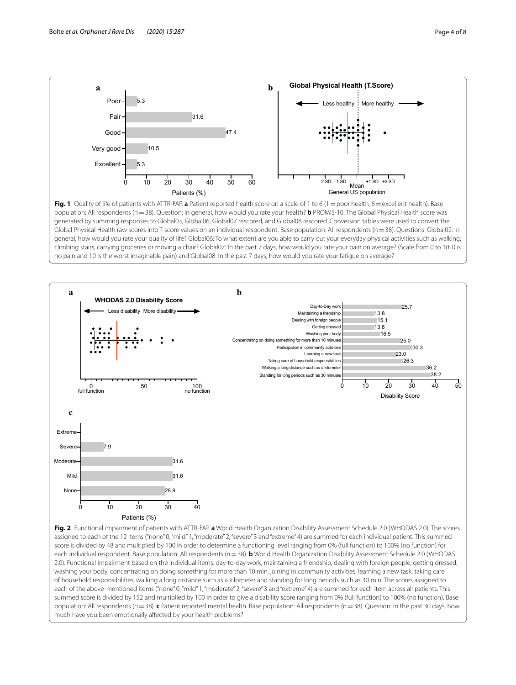

<span id="page-3-0"></span>**Fig. 1** Quality of life of patients with ATTR-FAP. **a** Patient reported health score on a scale of 1 to 6 (1 = poor health, 6 = excellent health). Base population: All respondents (n=38). Question: In general, how would you rate your health? **b** PROMIS-10. The Global Physical Health score was generated by summing responses to Global03, Global06, Global07 rescored, and Global08 rescored. Conversion tables were used to convert the Global Physical Health raw scores into T-score values on an individual respondent. Base population: All respondents (n=38). Questions: Global02: In general, how would you rate your quality of life? Global06: To what extent are you able to carry out your everyday physical activities such as walking, climbing stairs, carrying groceries or moving a chair? Global07: In the past 7 days, how would you rate your pain on average? (Scale from 0 to 10: 0 is no pain and 10 is the worst imaginable pain) and Global08: In the past 7 days, how would you rate your fatigue on average?



<span id="page-3-1"></span>score is divided by 48 and multiplied by 100 in order to determine a functioning level ranging from 0% (full function) to 100% (no function) for each individual respondent. Base population: All respondents (n=38). **b** World Health Organization Disability Assessment Schedule 2.0 (WHODAS 2.0). Functional impairment based on the individual items: day-to-day work, maintaining a friendship, dealing with foreign people, getting dressed, washing your body, concentrating on doing something for more than 10 min, joining in community activities, learning a new task, taking care of household responsibilities, walking a long distance such as a kilometer and standing for long periods such as 30 min. The scores assigned to each of the above-mentioned items ("none" 0, "mild" 1, "moderate" 2, "severe" 3 and "extreme" 4) are summed for each item across all patients. This summed score is divided by 152 and multiplied by 100 in order to give a disability score ranging from 0% (full function) to 100% (no function). Base population: All respondents (n=38). **c** Patient reported mental health. Base population: All respondents (n=38). Question: In the past 30 days, how much have you been emotionally affected by your health problems?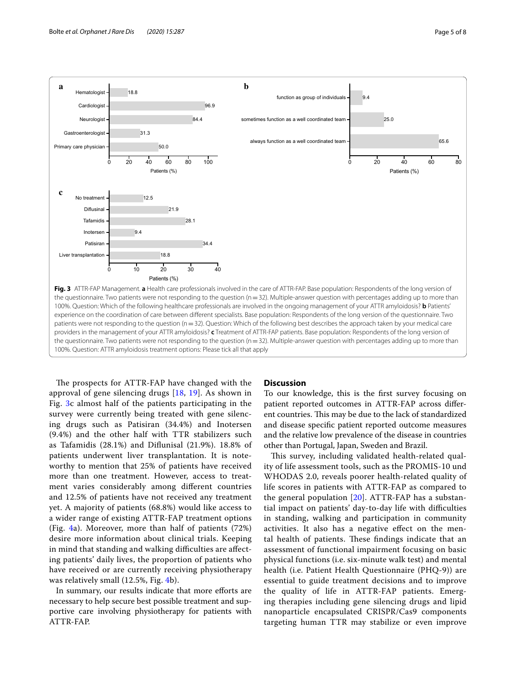

<span id="page-4-0"></span>The prospects for ATTR-FAP have changed with the approval of gene silencing drugs [\[18](#page-6-13), [19](#page-7-0)]. As shown in Fig. [3c](#page-4-0) almost half of the patients participating in the survey were currently being treated with gene silencing drugs such as Patisiran (34.4%) and Inotersen (9.4%) and the other half with TTR stabilizers such as Tafamidis (28.1%) and Difunisal (21.9%). 18.8% of patients underwent liver transplantation. It is noteworthy to mention that 25% of patients have received more than one treatment. However, access to treatment varies considerably among diferent countries and 12.5% of patients have not received any treatment yet. A majority of patients (68.8%) would like access to a wider range of existing ATTR-FAP treatment options (Fig. [4a](#page-5-0)). Moreover, more than half of patients (72%) desire more information about clinical trials. Keeping in mind that standing and walking difficulties are affecting patients' daily lives, the proportion of patients who have received or are currently receiving physiotherapy was relatively small (12.5%, Fig. [4b](#page-5-0)).

In summary, our results indicate that more eforts are necessary to help secure best possible treatment and supportive care involving physiotherapy for patients with ATTR-FAP.

#### **Discussion**

To our knowledge, this is the frst survey focusing on patient reported outcomes in ATTR-FAP across diferent countries. This may be due to the lack of standardized and disease specifc patient reported outcome measures and the relative low prevalence of the disease in countries other than Portugal, Japan, Sweden and Brazil.

This survey, including validated health-related quality of life assessment tools, such as the PROMIS-10 und WHODAS 2.0, reveals poorer health-related quality of life scores in patients with ATTR-FAP as compared to the general population  $[20]$  $[20]$ . ATTR-FAP has a substantial impact on patients' day-to-day life with difficulties in standing, walking and participation in community activities. It also has a negative efect on the mental health of patients. These findings indicate that an assessment of functional impairment focusing on basic physical functions (i.e. six-minute walk test) and mental health (i.e. Patient Health Questionnaire (PHQ-9)) are essential to guide treatment decisions and to improve the quality of life in ATTR-FAP patients. Emerging therapies including gene silencing drugs and lipid nanoparticle encapsulated CRISPR/Cas9 components targeting human TTR may stabilize or even improve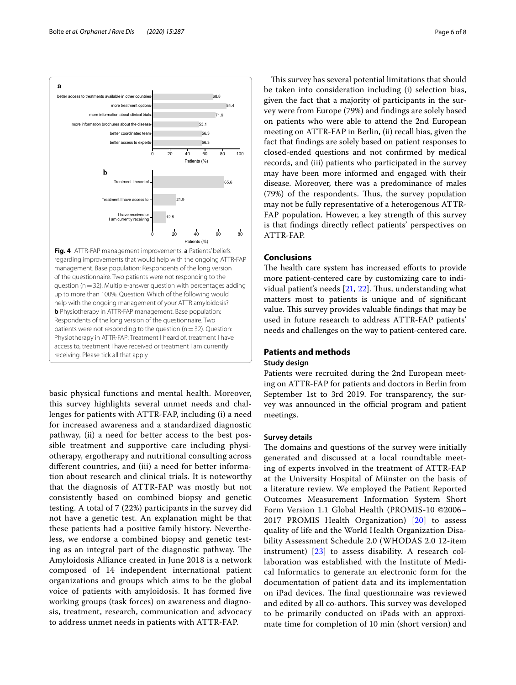

<span id="page-5-0"></span>basic physical functions and mental health. Moreover, this survey highlights several unmet needs and challenges for patients with ATTR-FAP, including (i) a need for increased awareness and a standardized diagnostic pathway, (ii) a need for better access to the best possible treatment and supportive care including physiotherapy, ergotherapy and nutritional consulting across diferent countries, and (iii) a need for better information about research and clinical trials. It is noteworthy that the diagnosis of ATTR-FAP was mostly but not consistently based on combined biopsy and genetic testing. A total of 7 (22%) participants in the survey did not have a genetic test. An explanation might be that these patients had a positive family history. Nevertheless, we endorse a combined biopsy and genetic testing as an integral part of the diagnostic pathway. The Amyloidosis Alliance created in June 2018 is a network composed of 14 independent international patient organizations and groups which aims to be the global voice of patients with amyloidosis. It has formed fve working groups (task forces) on awareness and diagnosis, treatment, research, communication and advocacy to address unmet needs in patients with ATTR-FAP.

This survey has several potential limitations that should be taken into consideration including (i) selection bias, given the fact that a majority of participants in the survey were from Europe (79%) and fndings are solely based on patients who were able to attend the 2nd European meeting on ATTR-FAP in Berlin, (ii) recall bias, given the fact that fndings are solely based on patient responses to closed-ended questions and not confrmed by medical records, and (iii) patients who participated in the survey may have been more informed and engaged with their disease. Moreover, there was a predominance of males (79%) of the respondents. Thus, the survey population may not be fully representative of a heterogenous ATTR-FAP population. However, a key strength of this survey is that fndings directly refect patients' perspectives on ATTR-FAP.

## **Conclusions**

The health care system has increased efforts to provide more patient-centered care by customizing care to individual patient's needs  $[21, 22]$  $[21, 22]$  $[21, 22]$  $[21, 22]$  $[21, 22]$ . Thus, understanding what matters most to patients is unique and of signifcant value. This survey provides valuable findings that may be used in future research to address ATTR-FAP patients' needs and challenges on the way to patient-centered care.

## **Patients and methods**

## **Study design**

Patients were recruited during the 2nd European meeting on ATTR-FAP for patients and doctors in Berlin from September 1st to 3rd 2019. For transparency, the survey was announced in the official program and patient meetings.

#### **Survey details**

The domains and questions of the survey were initially generated and discussed at a local roundtable meeting of experts involved in the treatment of ATTR-FAP at the University Hospital of Münster on the basis of a literature review. We employed the Patient Reported Outcomes Measurement Information System Short Form Version 1.1 Global Health (PROMIS-10 ©2006– 2017 PROMIS Health Organization) [[20\]](#page-7-1) to assess quality of life and the World Health Organization Disability Assessment Schedule 2.0 (WHODAS 2.0 12-item instrument) [\[23](#page-7-4)] to assess disability. A research collaboration was established with the Institute of Medical Informatics to generate an electronic form for the documentation of patient data and its implementation on iPad devices. The final questionnaire was reviewed and edited by all co-authors. This survey was developed to be primarily conducted on iPads with an approximate time for completion of 10 min (short version) and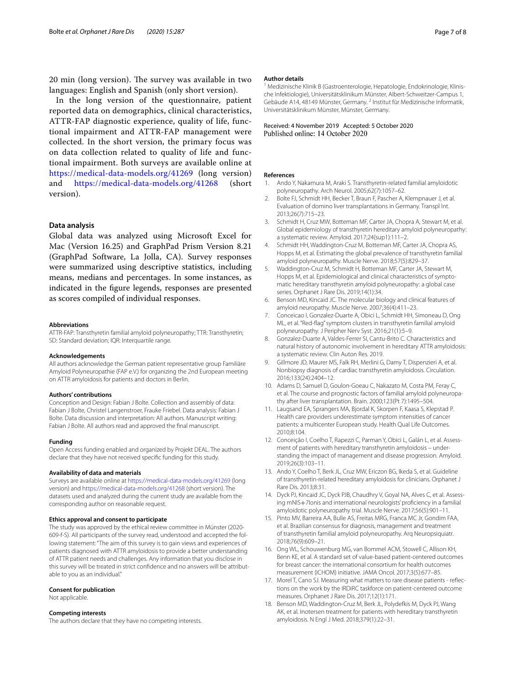20 min (long version). The survey was available in two languages: English and Spanish (only short version).

In the long version of the questionnaire, patient reported data on demographics, clinical characteristics, ATTR-FAP diagnostic experience, quality of life, functional impairment and ATTR-FAP management were collected. In the short version, the primary focus was on data collection related to quality of life and functional impairment. Both surveys are available online at <https://medical-data-models.org/41269>(long version) and <https://medical-data-models.org/41268>(short version).

## **Data analysis**

Global data was analyzed using Microsoft Excel for Mac (Version 16.25) and GraphPad Prism Version 8.21 (GraphPad Software, La Jolla, CA). Survey responses were summarized using descriptive statistics, including means, medians and percentages. In some instances, as indicated in the fgure legends, responses are presented as scores compiled of individual responses.

#### **Abbreviations**

ATTR-FAP: Transthyretin familial amyloid polyneuropathy; TTR: Transthyretin; SD: Standard deviation; IQR: Interquartile range.

#### **Acknowledgements**

All authors acknowledge the German patient representative group Familiäre Amyloid Polyneuropathie (FAP e.V.) for organizing the 2nd European meeting on ATTR amyloidosis for patients and doctors in Berlin.

#### **Authors' contributions**

Conception and Design: Fabian J Bolte. Collection and assembly of data: Fabian J Bolte, Christel Langenstroer, Frauke Friebel. Data analysis: Fabian J Bolte. Data discussion and interpretation: All authors. Manuscript writing: Fabian J Bolte. All authors read and approved the fnal manuscript.

#### **Funding**

Open Access funding enabled and organized by Projekt DEAL. The authors declare that they have not received specifc funding for this study.

#### **Availability of data and materials**

Surveys are available online at <https://medical-data-models.org/41269> (long version) and<https://medical-data-models.org/41268> (short version). The datasets used and analyzed during the current study are available from the corresponding author on reasonable request.

#### **Ethics approval and consent to participate**

The study was approved by the ethical review committee in Münster (2020-609-f-S). All participants of the survey read, understood and accepted the fol‑ lowing statement: "The aim of this survey is to gain views and experiences of patients diagnosed with ATTR amyloidosis to provide a better understanding of ATTR patient needs and challenges. Any information that you disclose in this survey will be treated in strict confdence and no answers will be attribut‑ able to you as an individual."

#### **Consent for publication**

Not applicable.

#### **Competing interests**

The authors declare that they have no competing interests.

#### **Author details**

Medizinische Klinik B (Gastroenterologie, Hepatologie, Endokrinologie, Klinische Infektiologie), Universitätsklinikum Münster, Albert‑Schweitzer‑Campus 1, Gebäude A14, 48149 Münster, Germany. <sup>2</sup> Institut für Medizinische Informatik, Universitätsklinikum Münster, Münster, Germany.

#### Received: 4 November 2019 Accepted: 5 October 2020 Published online: 14 October 2020

#### **References**

- <span id="page-6-0"></span>1. Ando Y, Nakamura M, Araki S. Transthyretin-related familial amyloidotic polyneuropathy. Arch Neurol. 2005;62(7):1057–62.
- <span id="page-6-1"></span>2. Bolte FJ, Schmidt HH, Becker T, Braun F, Pascher A, Klempnauer J, et al. Evaluation of domino liver transplantations in Germany. Transpl Int. 2013;26(7):715–23.
- <span id="page-6-2"></span>3. Schmidt H, Cruz MW, Botteman MF, Carter JA, Chopra A, Stewart M, et al. Global epidemiology of transthyretin hereditary amyloid polyneuropathy: a systematic review. Amyloid. 2017;24(sup1):111–2.
- 4. Schmidt HH, Waddington-Cruz M, Botteman MF, Carter JA, Chopra AS, Hopps M, et al. Estimating the global prevalence of transthyretin familial amyloid polyneuropathy. Muscle Nerve. 2018;57(5):829–37.
- <span id="page-6-3"></span>5. Waddington-Cruz M, Schmidt H, Botteman MF, Carter JA, Stewart M, Hopps M, et al. Epidemiological and clinical characteristics of symptomatic hereditary transthyretin amyloid polyneuropathy: a global case series. Orphanet J Rare Dis. 2019;14(1):34.
- <span id="page-6-4"></span>6. Benson MD, Kincaid JC. The molecular biology and clinical features of amyloid neuropathy. Muscle Nerve. 2007;36(4):411–23.
- 7. Conceicao I, Gonzalez-Duarte A, Obici L, Schmidt HH, Simoneau D, Ong ML, et al. "Red-fag" symptom clusters in transthyretin familial amyloid polyneuropathy. J Peripher Nerv Syst. 2016;21(1):5–9.
- <span id="page-6-5"></span>8. Gonzalez-Duarte A, Valdes-Ferrer SI, Cantu-Brito C. Characteristics and natural history of autonomic involvement in hereditary ATTR amyloidosis: a systematic review. Clin Auton Res. 2019.
- <span id="page-6-6"></span>9. Gillmore JD, Maurer MS, Falk RH, Merlini G, Damy T, Dispenzieri A, et al. Nonbiopsy diagnosis of cardiac transthyretin amyloidosis. Circulation. 2016;133(24):2404–12.
- <span id="page-6-7"></span>10. Adams D, Samuel D, Goulon-Goeau C, Nakazato M, Costa PM, Feray C, et al. The course and prognostic factors of familial amyloid polyneuropathy after liver transplantation. Brain. 2000;123(Pt 7):1495–504.
- <span id="page-6-8"></span>11. Laugsand EA, Sprangers MA, Bjordal K, Skorpen F, Kaasa S, Klepstad P. Health care providers underestimate symptom intensities of cancer patients: a multicenter European study. Health Qual Life Outcomes. 2010;8:104.
- <span id="page-6-9"></span>12. Conceição I, Coelho T, Rapezzi C, Parman Y, Obici L, Galán L, et al. Assessment of patients with hereditary transthyretin amyloidosis – understanding the impact of management and disease progression. Amyloid. 2019;26(3):103–11.
- 13. Ando Y, Coelho T, Berk JL, Cruz MW, Ericzon BG, Ikeda S, et al. Guideline of transthyretin-related hereditary amyloidosis for clinicians. Orphanet J Rare Dis. 2013;8:31.
- 14. Dyck PJ, Kincaid JC, Dyck PJB, Chaudhry V, Goyal NA, Alves C, et al. Assessing mNIS+7Ionis and international neurologists' profciency in a familial amyloidotic polyneuropathy trial. Muscle Nerve. 2017;56(5):901–11.
- <span id="page-6-10"></span>15. Pinto MV, Barreira AA, Bulle AS, Freitas MRG, Franca MC Jr, Gondim FAA, et al. Brazilian consensus for diagnosis, management and treatment of transthyretin familial amyloid polyneuropathy. Arq Neuropsiquiatr. 2018;76(9):609–21.
- <span id="page-6-11"></span>16. Ong WL, Schouwenburg MG, van Bommel ACM, Stowell C, Allison KH, Benn KE, et al. A standard set of value-based patient-centered outcomes for breast cancer: the international consortium for health outcomes measurement (ICHOM) initiative. JAMA Oncol. 2017;3(5):677–85.
- <span id="page-6-12"></span>17. Morel T, Cano SJ. Measuring what matters to rare disease patients - reflections on the work by the IRDiRC taskforce on patient-centered outcome measures. Orphanet J Rare Dis. 2017;12(1):171.
- <span id="page-6-13"></span>18. Benson MD, Waddington-Cruz M, Berk JL, Polydefkis M, Dyck PJ, Wang AK, et al. Inotersen treatment for patients with hereditary transthyretin amyloidosis. N Engl J Med. 2018;379(1):22–31.